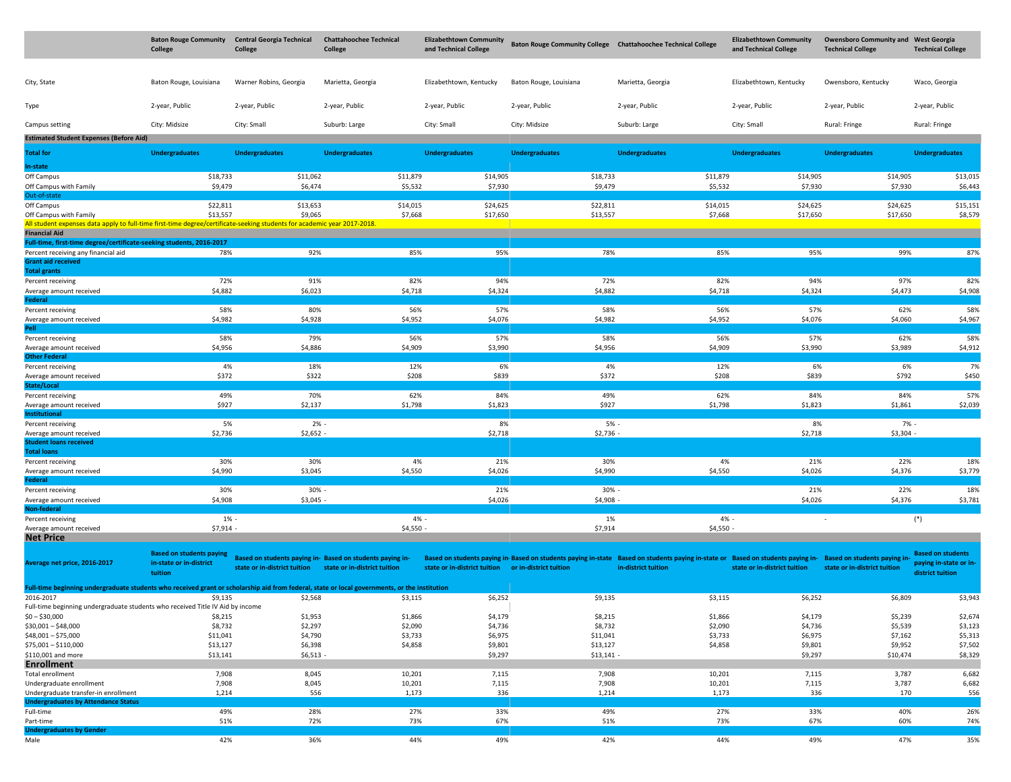|                                                                                                                                                            | <b>Baton Rouge Community</b><br>College                               | <b>Central Georgia Technical</b><br>College | <b>Chattahoochee Technical</b><br>College                                                 | <b>Elizabethtown Community</b><br>and Technical College |                        | Baton Rouge Community College Chattahoochee Technical College                                                                                                                      | <b>Elizabethtown Community</b><br>and Technical College | <b>Owensboro Community and West Georgia</b><br><b>Technical College</b> | <b>Technical College</b>                                               |
|------------------------------------------------------------------------------------------------------------------------------------------------------------|-----------------------------------------------------------------------|---------------------------------------------|-------------------------------------------------------------------------------------------|---------------------------------------------------------|------------------------|------------------------------------------------------------------------------------------------------------------------------------------------------------------------------------|---------------------------------------------------------|-------------------------------------------------------------------------|------------------------------------------------------------------------|
| City, State                                                                                                                                                | Baton Rouge, Louisiana                                                | Warner Robins, Georgia                      | Marietta, Georgia                                                                         | Elizabethtown, Kentucky                                 | Baton Rouge, Louisiana | Marietta, Georgia                                                                                                                                                                  | Elizabethtown, Kentucky                                 | Owensboro, Kentucky                                                     | Waco, Georgia                                                          |
| Type                                                                                                                                                       | 2-year, Public                                                        | 2-year, Public                              | 2-year, Public                                                                            | 2-year, Public                                          | 2-year, Public         | 2-year, Public                                                                                                                                                                     | 2-year, Public                                          | 2-year, Public                                                          | 2-year, Public                                                         |
| Campus setting                                                                                                                                             | City: Midsize                                                         | City: Small                                 | Suburb: Large                                                                             | City: Small                                             | City: Midsize          | Suburb: Large                                                                                                                                                                      | City: Small                                             | Rural: Fringe                                                           | Rural: Fringe                                                          |
| <b>Estimated Student Expenses (Before Aid)</b>                                                                                                             |                                                                       |                                             |                                                                                           |                                                         |                        |                                                                                                                                                                                    |                                                         |                                                                         |                                                                        |
| Total for                                                                                                                                                  | <b>Undergraduates</b>                                                 | <b>Undergraduates</b>                       | <b>Undergraduates</b>                                                                     | <b>Undergraduates</b>                                   | <b>Undergraduates</b>  | <b>Undergraduates</b>                                                                                                                                                              | <b>Undergraduates</b>                                   | <b>Undergraduates</b>                                                   | <b>Undergraduates</b>                                                  |
| In-state                                                                                                                                                   |                                                                       |                                             |                                                                                           |                                                         |                        |                                                                                                                                                                                    |                                                         |                                                                         |                                                                        |
| Off Campus                                                                                                                                                 | \$18,733                                                              | \$11,062                                    | \$11,879                                                                                  | \$14,905                                                | \$18,733               | \$11,879                                                                                                                                                                           | \$14,905                                                | \$14,905                                                                | \$13,015                                                               |
| Off Campus with Family                                                                                                                                     | \$9,479                                                               | \$6,474                                     | \$5,532                                                                                   | \$7,930                                                 | \$9,479                | \$5,532                                                                                                                                                                            | \$7,930                                                 | \$7,930                                                                 | \$6,443                                                                |
| Out-of-state<br>Off Campus                                                                                                                                 | \$22,811                                                              | \$13,653                                    | \$14,015                                                                                  | \$24,625                                                | \$22,811               | \$14,015                                                                                                                                                                           | \$24,625                                                | \$24,625                                                                | \$15,151                                                               |
| Off Campus with Family                                                                                                                                     | \$13,557                                                              | \$9,065                                     | \$7,668                                                                                   | \$17,650                                                | \$13,557               | \$7,668                                                                                                                                                                            | \$17,650                                                | \$17,650                                                                | \$8,579                                                                |
| All student expenses data apply to full-time first-time degree/certificate-seeking students for academic year 2017-2018.<br><b>Financial Aid</b>           |                                                                       |                                             |                                                                                           |                                                         |                        |                                                                                                                                                                                    |                                                         |                                                                         |                                                                        |
| Full-time, first-time degree/certificate-seeking students, 2016-2017<br>Percent receiving any financial aid                                                | 78%                                                                   | 92%                                         | 85%                                                                                       | 95%                                                     | 78%                    | 85%                                                                                                                                                                                | 95%                                                     | 99%                                                                     | 87%                                                                    |
| <b>Grant aid received</b><br><b>Total grants</b>                                                                                                           |                                                                       |                                             |                                                                                           |                                                         |                        |                                                                                                                                                                                    |                                                         |                                                                         |                                                                        |
| Percent receiving                                                                                                                                          | 72%                                                                   | 91%                                         | 82%                                                                                       | 94%                                                     | 72%                    | 82%                                                                                                                                                                                | 94%                                                     | 97%                                                                     | 82%                                                                    |
| Average amount received<br><b>Federal</b>                                                                                                                  | \$4,882                                                               | \$6,023                                     | \$4,718                                                                                   | \$4,324                                                 | \$4,882                | \$4,718                                                                                                                                                                            | \$4,324                                                 | \$4,473                                                                 | \$4,908                                                                |
| Percent receiving                                                                                                                                          | 58%                                                                   | 80%                                         | 56%                                                                                       | 57%                                                     | 58%                    | 56%                                                                                                                                                                                | 57%                                                     | 62%                                                                     | 58%                                                                    |
| Average amount received                                                                                                                                    | \$4,982                                                               | \$4,928                                     | \$4,952                                                                                   | \$4,076                                                 | \$4,982                | \$4,952                                                                                                                                                                            | \$4,076                                                 | \$4,060                                                                 | \$4,967                                                                |
| Pell                                                                                                                                                       | 58%                                                                   | 79%                                         | 56%                                                                                       | 57%                                                     | 58%                    | 56%                                                                                                                                                                                | 57%                                                     | 62%                                                                     | 58%                                                                    |
| Percent receiving<br>Average amount received                                                                                                               | \$4,956                                                               | \$4,886                                     | \$4,909                                                                                   | \$3,990                                                 | \$4,956                | \$4,909                                                                                                                                                                            | \$3,990                                                 | \$3,989                                                                 | \$4,912                                                                |
| <b>Other Federal</b>                                                                                                                                       |                                                                       |                                             |                                                                                           |                                                         |                        |                                                                                                                                                                                    |                                                         |                                                                         |                                                                        |
| Percent receiving                                                                                                                                          | 4%                                                                    | 18%                                         | 12%                                                                                       | 6%                                                      | 4%                     | 12%                                                                                                                                                                                | 6%                                                      | 6%                                                                      | 7%                                                                     |
| Average amount received<br>State/Local                                                                                                                     | \$372                                                                 | \$322                                       | \$208                                                                                     | \$839                                                   | \$372                  | \$208                                                                                                                                                                              | \$839                                                   | \$792                                                                   | \$450                                                                  |
| Percent receiving                                                                                                                                          | 49%                                                                   | 70%                                         | 62%                                                                                       | 84%                                                     | 49%                    | 62%                                                                                                                                                                                | 84%                                                     | 84%                                                                     | 57%                                                                    |
| Average amount received<br>Institutional                                                                                                                   | \$927                                                                 | \$2,137                                     | \$1,798                                                                                   | \$1,823                                                 | \$927                  | \$1,798                                                                                                                                                                            | \$1,823                                                 | \$1,861                                                                 | \$2,039                                                                |
| Percent receiving                                                                                                                                          | 5%                                                                    | $2% -$                                      |                                                                                           | 8%                                                      | 5%                     |                                                                                                                                                                                    | 8%                                                      | 7% -                                                                    |                                                                        |
| Average amount received                                                                                                                                    | \$2,736                                                               | \$2,652                                     |                                                                                           | \$2,718                                                 | \$2,736                |                                                                                                                                                                                    | \$2,718                                                 | \$3,304                                                                 |                                                                        |
| <b>Student loans received</b><br><b>Total loans</b>                                                                                                        |                                                                       |                                             |                                                                                           |                                                         |                        |                                                                                                                                                                                    |                                                         |                                                                         |                                                                        |
| Percent receiving                                                                                                                                          | 30%                                                                   | 30%                                         | 4%                                                                                        | 21%                                                     | 30%                    | 4%                                                                                                                                                                                 | 21%                                                     | 22%                                                                     | 18%                                                                    |
| Average amount received                                                                                                                                    | \$4,990                                                               | \$3,045                                     | \$4,550                                                                                   | \$4,026                                                 | \$4,990                | \$4,550                                                                                                                                                                            | \$4,026                                                 | \$4,376                                                                 | \$3,779                                                                |
| <b>Federal</b><br>Percent receiving                                                                                                                        | 30%                                                                   | 30% -                                       |                                                                                           | 21%                                                     | 30%                    |                                                                                                                                                                                    | 21%                                                     | 22%                                                                     | 18%                                                                    |
| Average amount received                                                                                                                                    | \$4,908                                                               | $$3,045 -$                                  |                                                                                           | \$4,026                                                 | \$4,908                |                                                                                                                                                                                    | \$4,026                                                 | \$4,376                                                                 | \$3,781                                                                |
| Non-federal                                                                                                                                                |                                                                       |                                             |                                                                                           |                                                         |                        |                                                                                                                                                                                    |                                                         |                                                                         |                                                                        |
| Percent receiving<br>Average amount received                                                                                                               | $1% -$<br>$$7,914$ -                                                  |                                             | 4% -<br>\$4,550                                                                           |                                                         | 1%<br>\$7,914          | 4% -<br>\$4,550                                                                                                                                                                    |                                                         |                                                                         | $(*)$                                                                  |
| <b>Net Price</b>                                                                                                                                           |                                                                       |                                             |                                                                                           |                                                         |                        |                                                                                                                                                                                    |                                                         |                                                                         |                                                                        |
| Average net price, 2016-2017                                                                                                                               | <b>Based on students paying</b><br>in-state or in-district<br>tuition | state or in-district tuition                | Based on students paying in- Based on students paying in-<br>state or in-district tuition | state or in-district tuition                            | or in-district tuition | Based on students paying in Based on students paying in-state Based on students paying in-state or Based on students paying in- Based on students paying in<br>in-district tuition | state or in-district tuition                            | state or in-district tuition                                            | <b>Based on students</b><br>paying in-state or in-<br>district tuition |
| Full-time beginning undergraduate students who received grant or scholarship aid from federal, state or local governments, or the institution<br>2016-2017 | \$9,135                                                               | \$2,568                                     | \$3,115                                                                                   | \$6,252                                                 | \$9,135                | \$3,115                                                                                                                                                                            | \$6,252                                                 | \$6,809                                                                 | \$3,943                                                                |
| Full-time beginning undergraduate students who received Title IV Aid by income                                                                             |                                                                       |                                             |                                                                                           |                                                         |                        |                                                                                                                                                                                    |                                                         |                                                                         |                                                                        |
| $$0 - $30,000$                                                                                                                                             | \$8,215                                                               | \$1,953                                     | \$1,866                                                                                   | \$4,179                                                 | \$8,215                | \$1,866                                                                                                                                                                            | \$4,179                                                 | \$5,239                                                                 | \$2,674                                                                |
| $$30,001 - $48,000$<br>\$48,001 - \$75,000                                                                                                                 | \$8,732<br>\$11,041                                                   | \$2,297<br>\$4,790                          | \$2,090<br>\$3,733                                                                        | \$4,736<br>\$6,975                                      | \$8,732<br>\$11,041    | \$2,090<br>\$3,733                                                                                                                                                                 | \$4,736<br>\$6,975                                      | \$5,539<br>\$7,162                                                      | \$3,123<br>\$5,313                                                     |
| \$75,001 - \$110,000                                                                                                                                       | \$13,127                                                              | \$6,398                                     | \$4,858                                                                                   | \$9,801                                                 | \$13,127               | \$4,858                                                                                                                                                                            | \$9,801                                                 | \$9,952                                                                 | \$7,502                                                                |
| \$110,001 and more                                                                                                                                         | \$13,141                                                              | $$6,513 -$                                  |                                                                                           | \$9,297                                                 | $$13,141$ -            |                                                                                                                                                                                    | \$9,297                                                 | \$10,474                                                                | \$8,329                                                                |
| <b>Enrollment</b><br>Total enrollment                                                                                                                      |                                                                       | 8,045                                       | 10,201                                                                                    | 7,115                                                   |                        | 10,201                                                                                                                                                                             |                                                         | 3,787                                                                   | 6,682                                                                  |
| Undergraduate enrollment                                                                                                                                   | 7,908<br>7,908                                                        | 8,045                                       | 10,201                                                                                    | 7,115                                                   | 7,908<br>7,908         | 10,201                                                                                                                                                                             | 7,115<br>7,115                                          | 3,787                                                                   | 6,682                                                                  |
| Undergraduate transfer-in enrollment                                                                                                                       | 1,214                                                                 | 556                                         | 1,173                                                                                     | 336                                                     | 1,214                  | 1,173                                                                                                                                                                              | 336                                                     | 170                                                                     | 556                                                                    |
| <b>Undergraduates by Attendance Status</b>                                                                                                                 |                                                                       |                                             |                                                                                           |                                                         |                        |                                                                                                                                                                                    |                                                         |                                                                         |                                                                        |
| Full-time<br>Part-time                                                                                                                                     | 49%<br>51%                                                            | 28%<br>72%                                  | 27%<br>73%                                                                                | 33%<br>67%                                              | 49%<br>51%             | 27%<br>73%                                                                                                                                                                         | 33%<br>67%                                              | 40%<br>60%                                                              | 26%<br>74%                                                             |
| <b>Undergraduates by Gender</b>                                                                                                                            |                                                                       |                                             |                                                                                           |                                                         |                        |                                                                                                                                                                                    |                                                         |                                                                         |                                                                        |
| Male                                                                                                                                                       | 42%                                                                   | 36%                                         | 44%                                                                                       | 49%                                                     | 42%                    | 44%                                                                                                                                                                                | 49%                                                     | 47%                                                                     | 35%                                                                    |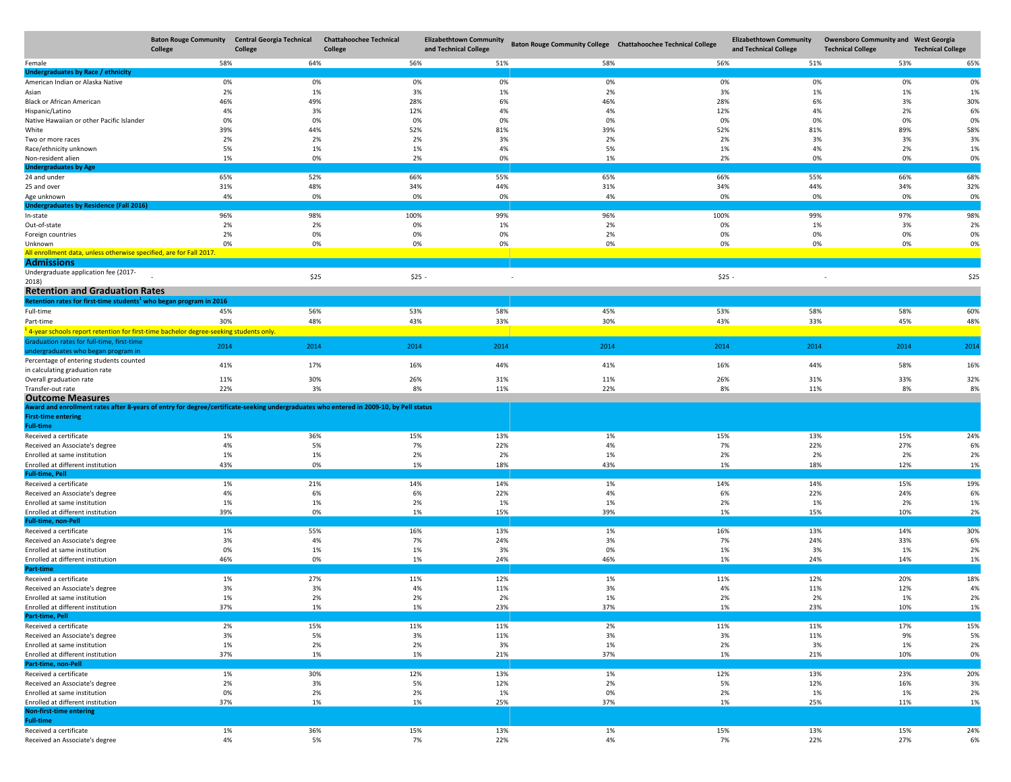|                                                                                                                                        | <b>Baton Rouge Community</b><br>College | <b>Central Georgia Technical</b><br>College | <b>Chattahoochee Technical</b><br>College | <b>Elizabethtown Community</b><br>and Technical College | Baton Rouge Community College Chattahoochee Technical College |           | <b>Elizabethtown Community</b><br>and Technical College | <b>Owensboro Community and West Georgia</b><br><b>Technical College</b> | <b>Technical College</b> |
|----------------------------------------------------------------------------------------------------------------------------------------|-----------------------------------------|---------------------------------------------|-------------------------------------------|---------------------------------------------------------|---------------------------------------------------------------|-----------|---------------------------------------------------------|-------------------------------------------------------------------------|--------------------------|
| Female                                                                                                                                 | 58%                                     | 64%                                         | 56%                                       | 51%                                                     | 58%                                                           | 56%       | 51%                                                     | 53%                                                                     | 65%                      |
| Undergraduates by Race / ethnicity                                                                                                     |                                         |                                             |                                           |                                                         |                                                               |           |                                                         |                                                                         |                          |
| American Indian or Alaska Native                                                                                                       | 0%                                      | 0%                                          | 0%                                        | 0%                                                      | 0%                                                            | 0%        | 0%                                                      | 0%                                                                      | 0%                       |
| Asian                                                                                                                                  | 2%                                      | 1%                                          | 3%                                        | 1%                                                      | 2%                                                            | 3%        | 1%                                                      | 1%                                                                      | 1%                       |
| <b>Black or African American</b>                                                                                                       | 46%                                     | 49%                                         | 28%                                       | 6%                                                      | 46%                                                           | 28%       | 6%                                                      | 3%                                                                      | 30%                      |
| Hispanic/Latino                                                                                                                        | 4%                                      | 3%                                          | 12%                                       | 4%                                                      | 4%                                                            | 12%       | 4%                                                      | 2%                                                                      | 6%                       |
| Native Hawaiian or other Pacific Islander                                                                                              | 0%                                      | 0%                                          | 0%                                        | 0%                                                      | 0%                                                            | 0%        | 0%                                                      | 0%                                                                      | 0%                       |
| White                                                                                                                                  | 39%                                     | 44%                                         | 52%                                       | 81%                                                     | 39%                                                           | 52%       | 81%                                                     | 89%                                                                     | 58%                      |
| Two or more races                                                                                                                      | 2%                                      | 2%                                          | 2%                                        | 3%                                                      | 2%                                                            | 2%        | 3%                                                      | 3%                                                                      | 3%                       |
| Race/ethnicity unknown                                                                                                                 | 5%                                      | 1%                                          | 1%                                        | 4%                                                      | 5%                                                            | 1%        | 4%                                                      | 2%                                                                      | 1%                       |
| Non-resident alien                                                                                                                     | 1%                                      | 0%                                          | 2%                                        | 0%                                                      | 1%                                                            | 2%        | 0%                                                      | 0%                                                                      | 0%                       |
| <b>Undergraduates by Age</b>                                                                                                           |                                         |                                             |                                           |                                                         |                                                               |           |                                                         |                                                                         |                          |
| 24 and under                                                                                                                           | 65%                                     | 52%                                         | 66%                                       | 55%                                                     | 65%                                                           | 66%       | 55%                                                     | 66%                                                                     | 68%                      |
| 25 and over                                                                                                                            | 31%                                     | 48%                                         | 34%                                       | 44%                                                     | 31%                                                           | 34%       | 44%                                                     | 34%                                                                     | 32%                      |
| Age unknown                                                                                                                            | 4%                                      | 0%                                          | 0%                                        | 0%                                                      | 4%                                                            | 0%        | 0%                                                      | 0%                                                                      | 0%                       |
| <b>Undergraduates by Residence (Fall 2016)</b>                                                                                         |                                         |                                             |                                           |                                                         |                                                               |           |                                                         |                                                                         |                          |
| In-state                                                                                                                               | 96%                                     | 98%                                         | 100%                                      | 99%                                                     | 96%                                                           | 100%      | 99%                                                     | 97%                                                                     | 98%                      |
| Out-of-state                                                                                                                           | 2%                                      | 2%                                          | 0%                                        | 1%                                                      | 2%                                                            | 0%        | 1%                                                      | 3%                                                                      | 2%                       |
| Foreign countries                                                                                                                      | 2%                                      | 0%                                          | 0%                                        | 0%                                                      | 2%                                                            | 0%        | 0%                                                      | 0%                                                                      | 0%                       |
| Unknown                                                                                                                                | 0%                                      | 0%                                          | 0%                                        | 0%                                                      | 0%                                                            | 0%        | 0%                                                      | 0%                                                                      | 0%                       |
| All enrollment data, unless otherwise specified, are for Fall 2017.                                                                    |                                         |                                             |                                           |                                                         |                                                               |           |                                                         |                                                                         |                          |
| <b>Admissions</b>                                                                                                                      |                                         |                                             |                                           |                                                         |                                                               |           |                                                         |                                                                         |                          |
| Undergraduate application fee (2017-                                                                                                   |                                         | \$25                                        | $$25 -$                                   |                                                         |                                                               | $$25 -$   |                                                         |                                                                         | \$25                     |
| 2018)                                                                                                                                  |                                         |                                             |                                           |                                                         |                                                               |           |                                                         |                                                                         |                          |
| <b>Retention and Graduation Rates</b>                                                                                                  |                                         |                                             |                                           |                                                         |                                                               |           |                                                         |                                                                         |                          |
| Retention rates for first-time students <sup>1</sup> who began program in 2016                                                         |                                         |                                             |                                           |                                                         |                                                               |           |                                                         |                                                                         |                          |
| Full-time                                                                                                                              | 45%                                     | 56%                                         | 53%                                       | 58%                                                     | 45%                                                           | 53%       | 58%                                                     | 58%                                                                     | 60%                      |
| Part-time                                                                                                                              | 30%                                     | 48%                                         | 43%                                       | 33%                                                     | 30%                                                           | 43%       | 33%                                                     | 45%                                                                     | 48%                      |
| <sup>1</sup> 4-year schools report retention for first-time bachelor degree-seeking students only.                                     |                                         |                                             |                                           |                                                         |                                                               |           |                                                         |                                                                         |                          |
| Graduation rates for full-time, first-time                                                                                             | 2014                                    | 2014                                        | 2014                                      | 2014                                                    | 2014                                                          | 2014      | 2014                                                    | 2014                                                                    | 2014                     |
| undergraduates who began program in                                                                                                    |                                         |                                             |                                           |                                                         |                                                               |           |                                                         |                                                                         |                          |
| Percentage of entering students counted                                                                                                | 41%                                     | 17%                                         | 16%                                       | 44%                                                     | 41%                                                           | 16%       | 44%                                                     | 58%                                                                     | 16%                      |
| in calculating graduation rate                                                                                                         |                                         |                                             |                                           |                                                         |                                                               |           |                                                         |                                                                         |                          |
| Overall graduation rate                                                                                                                | 11%                                     | 30%                                         | 26%                                       | 31%                                                     | 11%                                                           | 26%       | 31%                                                     | 33%                                                                     | 32%                      |
| Transfer-out rate                                                                                                                      | 22%                                     | 3%                                          | 8%                                        | 11%                                                     | 22%                                                           | 8%        | 11%                                                     | 8%                                                                      | 8%                       |
| <b>Outcome Measures</b>                                                                                                                |                                         |                                             |                                           |                                                         |                                                               |           |                                                         |                                                                         |                          |
| Award and enrollment rates after 8-years of entry for degree/certificate-seeking undergraduates who entered in 2009-10, by Pell status |                                         |                                             |                                           |                                                         |                                                               |           |                                                         |                                                                         |                          |
| <b>First-time entering</b>                                                                                                             |                                         |                                             |                                           |                                                         |                                                               |           |                                                         |                                                                         |                          |
| <b>Full-time</b>                                                                                                                       |                                         |                                             |                                           |                                                         |                                                               |           |                                                         |                                                                         |                          |
| Received a certificate                                                                                                                 | 1%                                      | 36%                                         | 15%                                       | 13%                                                     | 1%                                                            | 15%       | 13%                                                     | 15%                                                                     | 24%                      |
| Received an Associate's degree                                                                                                         | 4%                                      | 5%                                          | 7%                                        | 22%                                                     | 4%                                                            | 7%        | 22%                                                     | 27%                                                                     | 6%                       |
| Enrolled at same institution                                                                                                           | 1%                                      | 1%                                          | 2%                                        | 2%                                                      | 1%                                                            | 2%        | 2%                                                      | 2%                                                                      | 2%                       |
| Enrolled at different institution                                                                                                      | 43%                                     | 0%                                          | 1%                                        | 18%                                                     | 43%                                                           | 1%        | 18%                                                     | 12%                                                                     | 1%                       |
| <b>Full-time, Pell</b>                                                                                                                 |                                         |                                             |                                           |                                                         |                                                               |           |                                                         |                                                                         |                          |
| Received a certificate                                                                                                                 | 1%                                      | 21%                                         | 14%                                       | 14%                                                     | 1%                                                            | 14%       | 14%                                                     | 15%                                                                     | 19%                      |
| Received an Associate's degree                                                                                                         | 4%                                      | 6%                                          | 6%                                        | 22%                                                     | 4%                                                            | 6%        | 22%                                                     | 24%                                                                     | 6%                       |
| Enrolled at same institution                                                                                                           | 1%                                      | 1%                                          | 2%                                        | 1%                                                      | 1%                                                            | 2%        | 1%                                                      | 2%                                                                      | 1%                       |
| Enrolled at different institution                                                                                                      | 39%                                     | 0%                                          | 1%                                        | 15%                                                     | 39%                                                           | 1%        | 15%                                                     | 10%                                                                     | 2%                       |
| <b>Full-time, non-Pell</b>                                                                                                             |                                         |                                             |                                           |                                                         |                                                               |           |                                                         |                                                                         |                          |
| Received a certificate                                                                                                                 | 1%<br>3%                                | 55%<br>4%                                   | 16%                                       | 13%<br>24%                                              | 1%<br>3%                                                      | 16%<br>7% | 13%<br>24%                                              | 14%                                                                     | 30%<br>6%                |
| Received an Associate's degree                                                                                                         | 0%                                      |                                             | 7%                                        |                                                         |                                                               |           |                                                         | 33%                                                                     |                          |
| Enrolled at same institution                                                                                                           | 46%                                     | 1%                                          | 1%                                        | 3%<br>24%                                               | 0%                                                            | 1%<br>1%  | 3%                                                      | 1%                                                                      | 2%                       |
| Enrolled at different institution<br>Part-time                                                                                         |                                         | 0%                                          | 1%                                        |                                                         | 46%                                                           |           | 24%                                                     | 14%                                                                     | 1%                       |
|                                                                                                                                        | 1%                                      | 27%                                         | 11%                                       | 12%                                                     | 1%                                                            |           | 12%                                                     | 20%                                                                     | 18%                      |
| Received a certificate                                                                                                                 | 3%                                      | 3%                                          | 4%                                        | 11%                                                     | 3%                                                            | 11%<br>4% |                                                         | 12%                                                                     | 4%                       |
| Received an Associate's degree<br>Enrolled at same institution                                                                         | 1%                                      | 2%                                          | 2%                                        | 2%                                                      | 1%                                                            | 2%        | 11%<br>2%                                               | 1%                                                                      | 2%                       |
| Enrolled at different institution                                                                                                      |                                         | 1%                                          |                                           |                                                         |                                                               |           |                                                         |                                                                         | 1%                       |
| Part-time, Pell                                                                                                                        | 37%                                     |                                             | 1%                                        | 23%                                                     | 37%                                                           | 1%        | 23%                                                     | 10%                                                                     |                          |
| Received a certificate                                                                                                                 | 2%                                      | 15%                                         | 11%                                       | 11%                                                     | 2%                                                            | 11%       | 11%                                                     | 17%                                                                     | 15%                      |
| Received an Associate's degree                                                                                                         | 3%                                      | 5%                                          | 3%                                        |                                                         |                                                               | 3%        |                                                         |                                                                         |                          |
| Enrolled at same institution                                                                                                           | 1%                                      | 2%                                          | 2%                                        | 11%<br>3%                                               | 3%<br>1%                                                      | 2%        | 11%<br>3%                                               | 9%                                                                      | 5%<br>2%                 |
| Enrolled at different institution                                                                                                      | 37%                                     | 1%                                          | 1%                                        | 21%                                                     | 37%                                                           | 1%        | 21%                                                     | 1%<br>10%                                                               | 0%                       |
| Part-time, non-Pell                                                                                                                    |                                         |                                             |                                           |                                                         |                                                               |           |                                                         |                                                                         |                          |
| Received a certificate                                                                                                                 | 1%                                      | 30%                                         | 12%                                       | 13%                                                     | 1%                                                            | 12%       | 13%                                                     | 23%                                                                     | 20%                      |
| Received an Associate's degree                                                                                                         | 2%                                      | 3%                                          | 5%                                        | 12%                                                     | 2%                                                            | 5%        | 12%                                                     | 16%                                                                     | 3%                       |
| Enrolled at same institution                                                                                                           | 0%                                      | 2%                                          | 2%                                        | 1%                                                      | 0%                                                            | 2%        | 1%                                                      | 1%                                                                      | 2%                       |
| Enrolled at different institution                                                                                                      | 37%                                     | 1%                                          | 1%                                        | 25%                                                     | 37%                                                           | 1%        | 25%                                                     | 11%                                                                     | 1%                       |
| <b>Non-first-time entering</b>                                                                                                         |                                         |                                             |                                           |                                                         |                                                               |           |                                                         |                                                                         |                          |
| <b>Full-time</b>                                                                                                                       |                                         |                                             |                                           |                                                         |                                                               |           |                                                         |                                                                         |                          |
| Received a certificate                                                                                                                 | 1%                                      | 36%                                         | 15%                                       | 13%                                                     | 1%                                                            | 15%       | 13%                                                     | 15%                                                                     | 24%                      |
| Received an Associate's degree                                                                                                         | 4%                                      | 5%                                          | 7%                                        | 22%                                                     | 4%                                                            | 7%        | 22%                                                     | 27%                                                                     | 6%                       |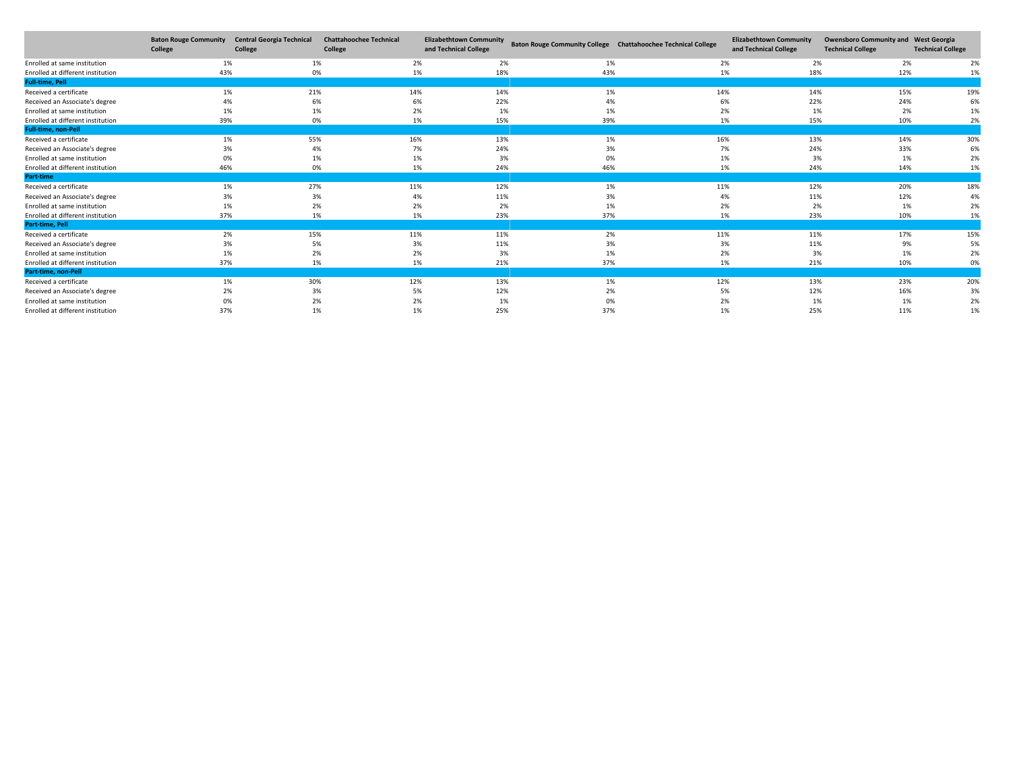|                                   | <b>Baton Rouge Community</b><br>College | <b>Central Georgia Technical</b><br>College | <b>Chattahoochee Technical</b><br>College | <b>Elizabethtown Community</b><br>and Technical College | Baton Rouge Community College Chattahoochee Technical College |     | <b>Elizabethtown Community</b><br>and Technical College | <b>Owensboro Community and West Georgia</b><br><b>Technical College</b> | <b>Technical College</b> |
|-----------------------------------|-----------------------------------------|---------------------------------------------|-------------------------------------------|---------------------------------------------------------|---------------------------------------------------------------|-----|---------------------------------------------------------|-------------------------------------------------------------------------|--------------------------|
| Enrolled at same institution      | 1%                                      | 1%                                          | 2%                                        | 2%                                                      | 1%                                                            | 2%  | 2%                                                      | 2%                                                                      | 2%                       |
| Enrolled at different institution | 43%                                     | 0%                                          | 1%                                        | 18%                                                     | 43%                                                           | 1%  | 18%                                                     | 12%                                                                     | 1%                       |
| <b>Full-time, Pell</b>            |                                         |                                             |                                           |                                                         |                                                               |     |                                                         |                                                                         |                          |
| Received a certificate            | 1%                                      | 21%                                         | 14%                                       | 14%                                                     | 1%                                                            | 14% | 14%                                                     | 15%                                                                     | 19%                      |
| Received an Associate's degree    | 4%                                      | 6%                                          | 6%                                        | 22%                                                     | 4%                                                            | 6%  | 22%                                                     | 24%                                                                     | 6%                       |
| Enrolled at same institution      | 1%                                      | 1%                                          | 2%                                        | 1%                                                      | 1%                                                            | 2%  | 1%                                                      | 2%                                                                      | 1%                       |
| Enrolled at different institution | 39%                                     | 0%                                          | 1%                                        | 15%                                                     | 39%                                                           | 1%  | 15%                                                     | 10%                                                                     | 2%                       |
| <b>Full-time, non-Pell</b>        |                                         |                                             |                                           |                                                         |                                                               |     |                                                         |                                                                         |                          |
| Received a certificate            | 1%                                      | 55%                                         | 16%                                       | 13%                                                     | 1%                                                            | 16% | 13%                                                     | 14%                                                                     | 30%                      |
| Received an Associate's degree    | 3%                                      | 4%                                          | 7%                                        | 24%                                                     | 3%                                                            | 7%  | 24%                                                     | 33%                                                                     | 6%                       |
| Enrolled at same institution      | 0%                                      | 1%                                          | 1%                                        | 3%                                                      | 0%                                                            | 1%  | 3%                                                      | 1%                                                                      | 2%                       |
| Enrolled at different institution | 46%                                     | 0%                                          | 1%                                        | 24%                                                     | 46%                                                           | 1%  | 24%                                                     | 14%                                                                     | 1%                       |
| <b>Part-time</b>                  |                                         |                                             |                                           |                                                         |                                                               |     |                                                         |                                                                         |                          |
| Received a certificate            | 1%                                      | 27%                                         | 11%                                       | 12%                                                     | 1%                                                            | 11% | 12%                                                     | 20%                                                                     | 18%                      |
| Received an Associate's degree    | 3%                                      | 3%                                          | 4%                                        | 11%                                                     | 3%                                                            | 4%  | 11%                                                     | 12%                                                                     | 4%                       |
| Enrolled at same institution      | 1%                                      | 2%                                          | 2%                                        | 2%                                                      | 1%                                                            | 2%  | 2%                                                      | 1%                                                                      | 2%                       |
| Enrolled at different institution | 37%                                     | 1%                                          | 1%                                        | 23%                                                     | 37%                                                           | 1%  | 23%                                                     | 10%                                                                     | 1%                       |
| Part-time, Pell                   |                                         |                                             |                                           |                                                         |                                                               |     |                                                         |                                                                         |                          |
| Received a certificate            | 2%                                      | 15%                                         | 11%                                       | 11%                                                     | 2%                                                            | 11% | 11%                                                     | 17%                                                                     | 15%                      |
| Received an Associate's degree    | 3%                                      | 5%                                          | 3%                                        | 11%                                                     | 3%                                                            | 3%  | 11%                                                     | 9%                                                                      | 5%                       |
| Enrolled at same institution      | 1%                                      | 2%                                          | 2%                                        | 3%                                                      | 1%                                                            | 2%  | 3%                                                      | 1%                                                                      | 2%                       |
| Enrolled at different institution | 37%                                     | 1%                                          | 1%                                        | 21%                                                     | 37%                                                           | 1%  | 21%                                                     | 10%                                                                     | 0%                       |
| Part-time, non-Pell               |                                         |                                             |                                           |                                                         |                                                               |     |                                                         |                                                                         |                          |
| Received a certificate            | 1%                                      | 30%                                         | 12%                                       | 13%                                                     | 1%                                                            | 12% | 13%                                                     | 23%                                                                     | 20%                      |
| Received an Associate's degree    | 2%                                      | 3%                                          | 5%                                        | 12%                                                     | 2%                                                            | 5%  | 12%                                                     | 16%                                                                     | 3%                       |
| Enrolled at same institution      | 0%                                      | 2%                                          | 2%                                        | 1%                                                      | 0%                                                            | 2%  | 1%                                                      | 1%                                                                      | 2%                       |
| Enrolled at different institution | 37%                                     | 1%                                          | 1%                                        | 25%                                                     | 37%                                                           | 1%  | 25%                                                     | 11%                                                                     | 1%                       |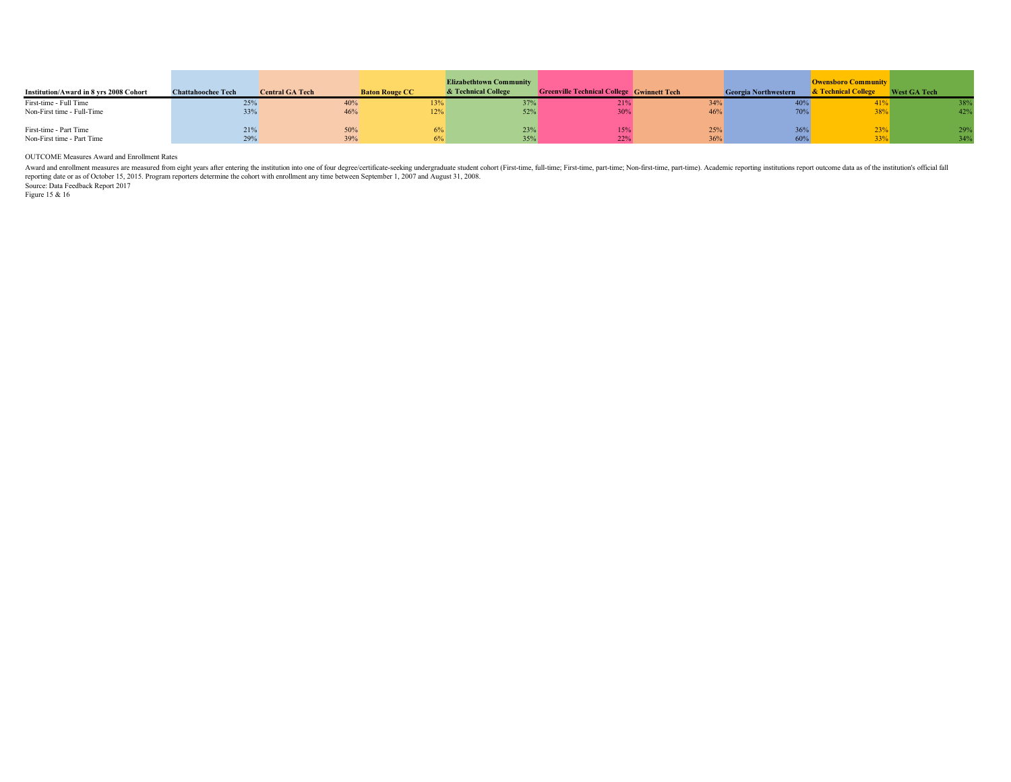| Institution/Award in 8 vrs 2008 Cohort               | <b>Chattahoochee Tech</b> | <b>Central GA Tech</b> | <b>Baton Rouge CC</b> | <b>Elizabethtown Community</b><br>& Technical College | <b>Greenville Technical College Gwinnett Tech</b> |            | <b>Georgia Northwestern</b> | <b>Owensboro Community</b><br>& Technical College | <b>West GA Tech</b> |
|------------------------------------------------------|---------------------------|------------------------|-----------------------|-------------------------------------------------------|---------------------------------------------------|------------|-----------------------------|---------------------------------------------------|---------------------|
| First-time - Full Time<br>Non-First time - Full-Time | 25%<br>33%                | 40%<br>46%             | 13%<br>12%            | 52%                                                   | 21%                                               | 34%<br>46% |                             | 41%<br>38%                                        | 38%<br>42%          |
| First-time - Part Time<br>Non-First time - Part Time | 21%<br>29%                | 50%<br>39%             | 6%                    | 23%<br>35%                                            | 15%                                               | 25%<br>36% | 36%<br>60%                  | 23%<br>33%                                        | 29%<br>34%          |

OUTCOME Measures Award and Enrollment Rates

Award and enrollment measures are measured from eight years after entering the institution into one of four degree/certificate-seeking undergraduate student cohort (First-time, full-time, First-time, part-time, Non-first-t

Source: Data Feedback Report 2017 Figure 15 & 16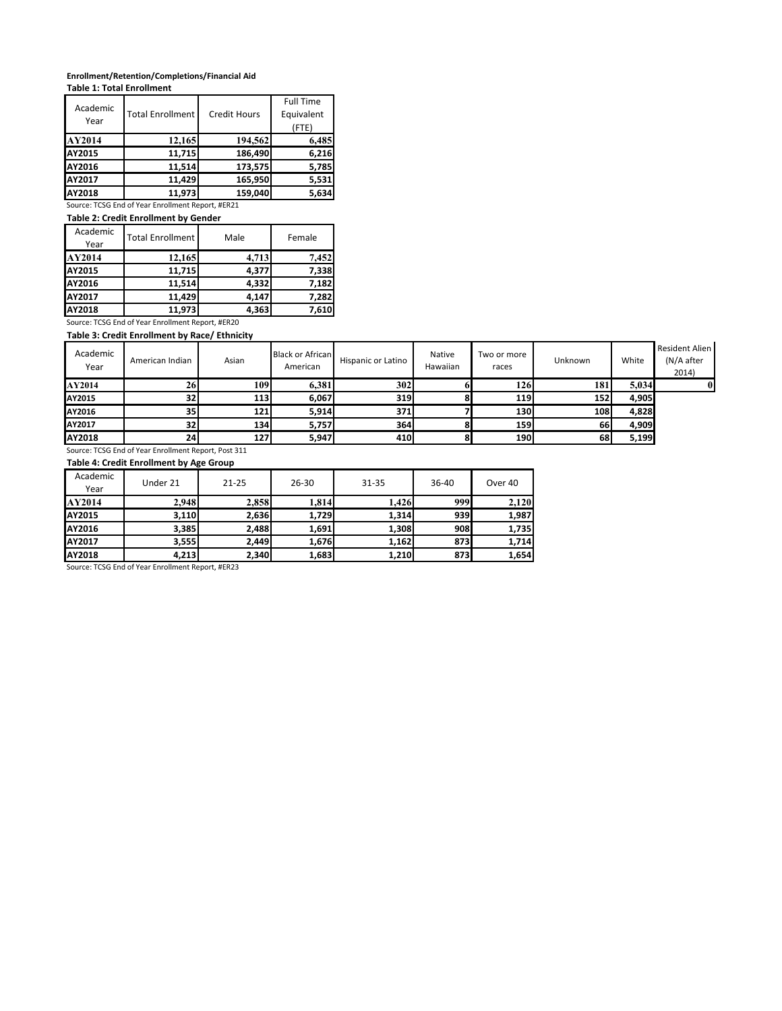# **Enrollment/Retention/Completions/Financial Aid**

| Table 1: Total Enrollment |  |  |  |
|---------------------------|--|--|--|
|                           |  |  |  |
|                           |  |  |  |

| Academic<br>Year | <b>Total Enrollment</b> | <b>Credit Hours</b> | <b>Full Time</b><br>Equivalent<br>(FTE) |
|------------------|-------------------------|---------------------|-----------------------------------------|
| AY2014           | 12,165                  | 194,562             | 6,485                                   |
| <b>AY2015</b>    | 11,715                  | 186,490             | 6,216                                   |
| AY2016           | 11,514                  | 173,575             | 5,785                                   |
| <b>AY2017</b>    | 11,429                  | 165,950             | 5,531                                   |
| AY2018           | 11,973                  | 159,040             | 5,634                                   |

Source: TCSG End of Year Enrollment Report, #ER21

**Table 2: Credit Enrollment by Gender**

| Academic<br>Year | <b>Total Enrollment</b> | Male  | Female |  |  |
|------------------|-------------------------|-------|--------|--|--|
| AY2014           | 12,165                  | 4.713 | 7.452  |  |  |
| AY2015           | 11,715                  | 4,377 | 7,338  |  |  |
| AY2016           | 11,514                  | 4,332 | 7.182  |  |  |
| <b>AY2017</b>    | 11,429                  | 4,147 | 7,282  |  |  |
| AY2018           | 11,973                  | 4,363 | 7,610  |  |  |

Source: TCSG End of Year Enrollment Report, #ER20 **Table 3: Credit Enrollment by Race/ Ethnicity**

| Academic<br>Year | American Indian | Asian | <b>Black or African</b><br>American | Hispanic or Latino | Native<br>Hawaiian | Two or more<br>races | Unknown    | White | <b>Resident Alien</b><br>(N/A after<br>2014) |  |
|------------------|-----------------|-------|-------------------------------------|--------------------|--------------------|----------------------|------------|-------|----------------------------------------------|--|
| AY2014           | 26              | 109   | 6,381                               | 302                |                    | 126                  | <b>181</b> | 5.034 | $\bf{0}$                                     |  |
| AY2015           | 32              | 113   | 6,067                               | 319I               |                    | <b>119</b>           | 152        | 4,905 |                                              |  |
| AY2016           | 35              | 121   | 5,914                               | 371                |                    | <b>130</b>           | <b>108</b> | 4,828 |                                              |  |
| AY2017           | 32              | 134   | 5,757                               | 364                |                    | <b>159</b>           | 66         | 4,909 |                                              |  |
| AY2018           | 24              | 127   | 5,947                               | 410                |                    | <b>190</b>           | 68         | 5,199 |                                              |  |

Source: TCSG End of Year Enrollment Report, Post 311

### **Table 4: Credit Enrollment by Age Group**

| Academic<br>Year | Under 21 | $21 - 25$ | $26 - 30$ | $31 - 35$ | 36-40 | Over 40 |
|------------------|----------|-----------|-----------|-----------|-------|---------|
| AY2014           | 2.948    | 2,858     | 1,814     | 1,426     | 999   | 2.120   |
| AY2015           | 3,110    | 2,636     | 1,729     | 1,314     | 939   | 1,987   |
| AY2016           | 3,385    | 2,488     | 1,691     | 1,308     | 908   | 1,735   |
| AY2017           | 3,555    | 2,449     | 1,676     | 1,162     | 873   | 1.714   |
| AY2018           | 4,213    | 2,340     | 1,683     | 1.210     | 873   | 1,654   |

Source: TCSG End of Year Enrollment Report, #ER23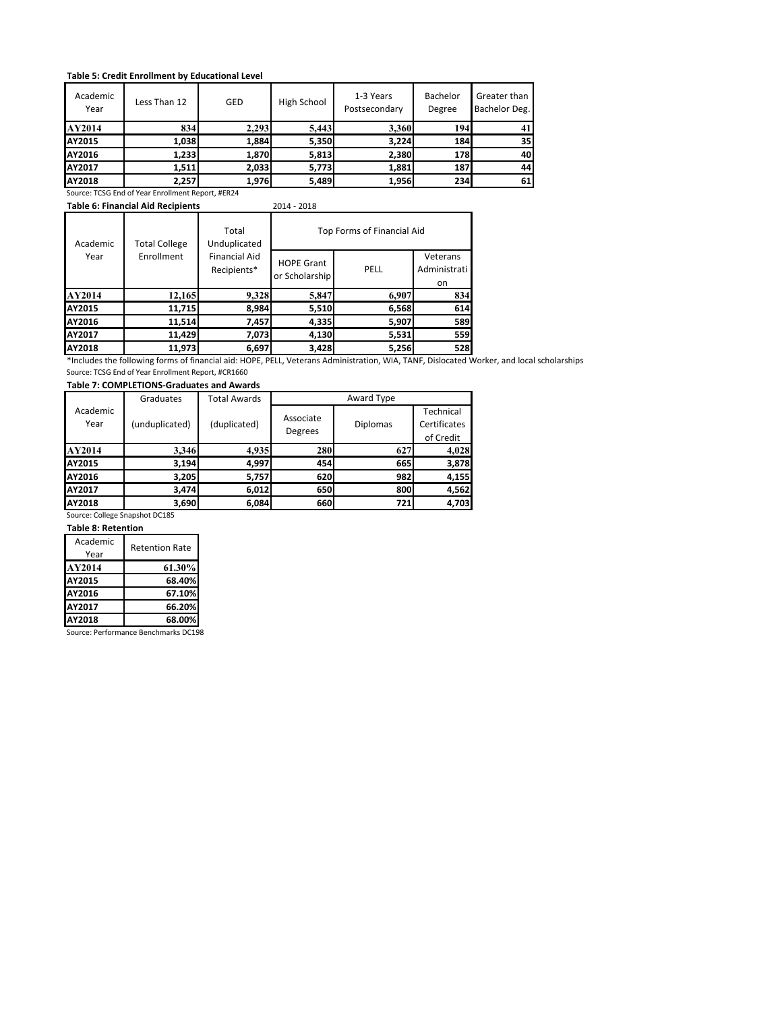#### **Table 5: Credit Enrollment by Educational Level**

| Academic<br>Year | Less Than 12                                      | GED   | High School | 1-3 Years<br>Postsecondary | Bachelor<br>Degree | Greater than<br>Bachelor Deg. |
|------------------|---------------------------------------------------|-------|-------------|----------------------------|--------------------|-------------------------------|
| AY2014           | 834                                               | 2,293 | 5,443       | 3.360                      | 194                | 41                            |
| AY2015           | 1,038                                             | 1,884 | 5,350       | 3,224                      | 184                | 35                            |
| AY2016           | 1,233                                             | 1,870 | 5,813       | 2,380                      | 178                | 40                            |
| AY2017           | 1,511                                             | 2,033 | 5,773       | 1,881                      | 187                | 44                            |
| <b>AY2018</b>    | 2.257                                             | 1,976 | 5,489       | 1,956                      | 234                | 61                            |
|                  | Source: TCSG End of Year Enrollment Report, #ER24 |       |             |                            |                    |                               |

**Table 6: Financial Aid Recipients** 2014 - 2018

| Academic<br><b>Total College</b><br>Enrollment<br>Year |                                     | Total<br>Unduplicated               | Top Forms of Financial Aid |                                |     |  |  |
|--------------------------------------------------------|-------------------------------------|-------------------------------------|----------------------------|--------------------------------|-----|--|--|
|                                                        | <b>Financial Aid</b><br>Recipients* | <b>HOPE Grant</b><br>or Scholarship | PELL                       | Veterans<br>Administrati<br>on |     |  |  |
| AY2014                                                 | 12,165                              | 9,328                               | 5,847                      | 6,907                          | 834 |  |  |
| AY2015                                                 | 11,715                              | 8,984                               | 5,510                      | 6,568                          | 614 |  |  |
| AY2016                                                 | 11,514                              | 7,457                               | 4,335                      | 5,907                          | 589 |  |  |
| AY2017                                                 | 11,429                              | 7,073                               | 4,130                      | 5,531                          | 559 |  |  |
| AY2018                                                 | 11,973                              | 6,697                               | 3,428                      | 5,256                          | 528 |  |  |

\*Includes the following forms of financial aid: HOPE, PELL, Veterans Administration, WIA, TANF, Dislocated Worker, and local scholarships Source: TCSG End of Year Enrollment Report, #CR1660

#### **Table 7: COMPLETIONS-Graduates and Awards**

|                  | Graduates      | <b>Total Awards</b> | Award Type           |                 |                                        |  |
|------------------|----------------|---------------------|----------------------|-----------------|----------------------------------------|--|
| Academic<br>Year | (unduplicated) | (duplicated)        | Associate<br>Degrees | <b>Diplomas</b> | Technical<br>Certificates<br>of Credit |  |
| AY2014           | 3,346          | 4,935               | 280                  | 627             | 4,028                                  |  |
| <b>AY2015</b>    | 3,194          | 4,997               | 454                  | 665             | 3,878                                  |  |
| AY2016           | 3,205          | 5,757               | <b>620</b>           | 982             | 4,155                                  |  |
| <b>AY2017</b>    | 3,474          | 6,012               | <b>650</b>           | 800             | 4,562                                  |  |
| AY2018           | 3,690          | 6,084               | 660                  | 721             | 4,703                                  |  |

Source: College Snapshot DC185

| <b>Table 8: Retention</b> |                       |  |  |  |  |
|---------------------------|-----------------------|--|--|--|--|
| Academic                  |                       |  |  |  |  |
| Year                      | <b>Retention Rate</b> |  |  |  |  |
| AY2014                    | 61.30%                |  |  |  |  |
| AY2015                    | 68.40%                |  |  |  |  |
| AY2016                    | 67.10%                |  |  |  |  |
| AY2017                    | 66.20%                |  |  |  |  |
| AY2018                    | 68.00%                |  |  |  |  |

Source: Performance Benchmarks DC198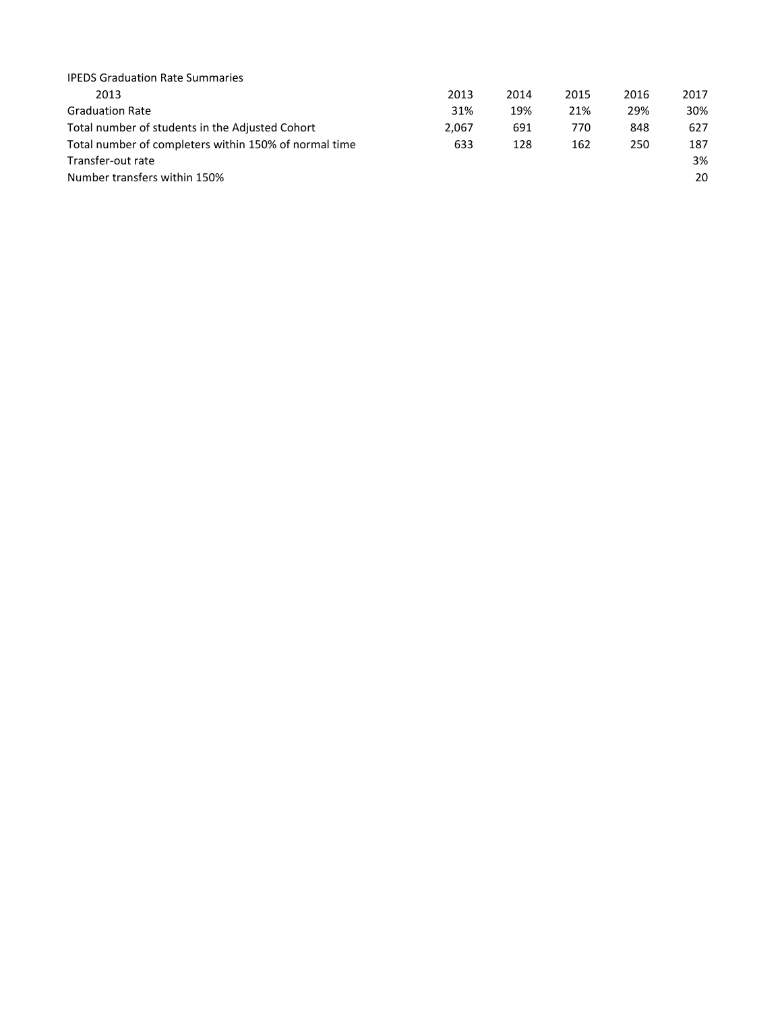| <b>IPEDS Graduation Rate Summaries</b>                |       |      |      |      |      |
|-------------------------------------------------------|-------|------|------|------|------|
| 2013                                                  | 2013  | 2014 | 2015 | 2016 | 2017 |
| <b>Graduation Rate</b>                                | 31%   | 19%  | 21%  | 29%  | 30%  |
| Total number of students in the Adjusted Cohort       | 2.067 | 691  | 770  | 848  | 627  |
| Total number of completers within 150% of normal time | 633   | 128  | 162  | 250  | 187  |
| Transfer-out rate                                     |       |      |      |      | 3%   |
| Number transfers within 150%                          |       |      |      |      | 20   |
|                                                       |       |      |      |      |      |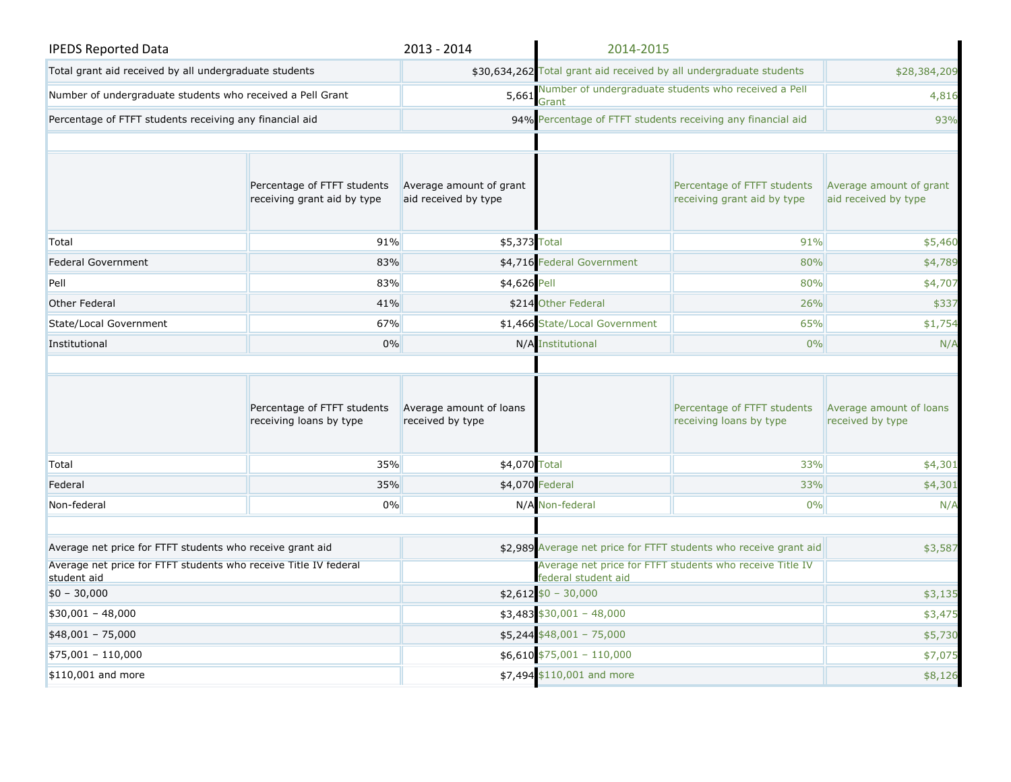| <b>IPEDS Reported Data</b>                                                      |                                                            | 2013 - 2014                                     | 2014-2015                                                                       |                                                             |                                                 |
|---------------------------------------------------------------------------------|------------------------------------------------------------|-------------------------------------------------|---------------------------------------------------------------------------------|-------------------------------------------------------------|-------------------------------------------------|
| Total grant aid received by all undergraduate students                          |                                                            |                                                 | \$30,634,262 Total grant aid received by all undergraduate students             |                                                             | \$28,384,209                                    |
| Number of undergraduate students who received a Pell Grant                      |                                                            | 5,661                                           | Grant                                                                           | Number of undergraduate students who received a Pell        |                                                 |
| Percentage of FTFT students receiving any financial aid                         |                                                            |                                                 |                                                                                 | 94% Percentage of FTFT students receiving any financial aid | 93%                                             |
|                                                                                 |                                                            |                                                 |                                                                                 |                                                             |                                                 |
|                                                                                 | Percentage of FTFT students<br>receiving grant aid by type | Average amount of grant<br>aid received by type |                                                                                 | Percentage of FTFT students<br>receiving grant aid by type  | Average amount of grant<br>aid received by type |
| Total                                                                           | 91%                                                        | \$5,373 Total                                   |                                                                                 | 91%                                                         | \$5,460                                         |
| <b>Federal Government</b>                                                       | 83%                                                        |                                                 | \$4,716 Federal Government                                                      | 80%                                                         | \$4,789                                         |
| Pell                                                                            | 83%                                                        | \$4,626 Pell                                    |                                                                                 | 80%                                                         | \$4,707                                         |
| Other Federal                                                                   | 41%                                                        |                                                 | \$214 Other Federal                                                             | 26%                                                         | \$337                                           |
| State/Local Government                                                          | 67%                                                        |                                                 | \$1,466 State/Local Government                                                  | 65%                                                         | \$1,754                                         |
| Institutional                                                                   | 0%                                                         |                                                 | N/A Institutional<br>0%                                                         |                                                             | N/A                                             |
|                                                                                 | Percentage of FTFT students<br>receiving loans by type     | Average amount of loans<br>received by type     |                                                                                 | Percentage of FTFT students<br>receiving loans by type      | Average amount of loans<br>received by type     |
| Total                                                                           | 35%                                                        | \$4,070 Total                                   |                                                                                 | 33%                                                         | \$4,301                                         |
| Federal                                                                         | 35%                                                        |                                                 | \$4,070 Federal                                                                 | 33%                                                         | \$4,301                                         |
| Non-federal                                                                     | 0%                                                         |                                                 | N/A Non-federal                                                                 | 0%                                                          | N/A                                             |
|                                                                                 |                                                            |                                                 |                                                                                 |                                                             |                                                 |
| Average net price for FTFT students who receive grant aid                       |                                                            |                                                 | \$2,989 Average net price for FTFT students who receive grant aid               |                                                             | \$3,587                                         |
| Average net price for FTFT students who receive Title IV federal<br>student aid |                                                            |                                                 | Average net price for FTFT students who receive Title IV<br>federal student aid |                                                             |                                                 |
| $$0 - 30,000$                                                                   |                                                            |                                                 | $$2,612$ \$0 - 30,000                                                           |                                                             | \$3,135                                         |
| $$30,001 - 48,000$                                                              |                                                            |                                                 | $$3,483$ $$30,001 - 48,000$                                                     |                                                             | \$3,475                                         |
| $$48,001 - 75,000$                                                              |                                                            |                                                 | $$5,244$ $$48,001 - 75,000$                                                     |                                                             | \$5,730                                         |
| \$75,001 - 110,000                                                              |                                                            |                                                 | $$6,610$ $$75,001 - 110,000$                                                    |                                                             | \$7,075                                         |
| \$110,001 and more                                                              |                                                            |                                                 | \$7,494 \$110,001 and more                                                      |                                                             | \$8,126                                         |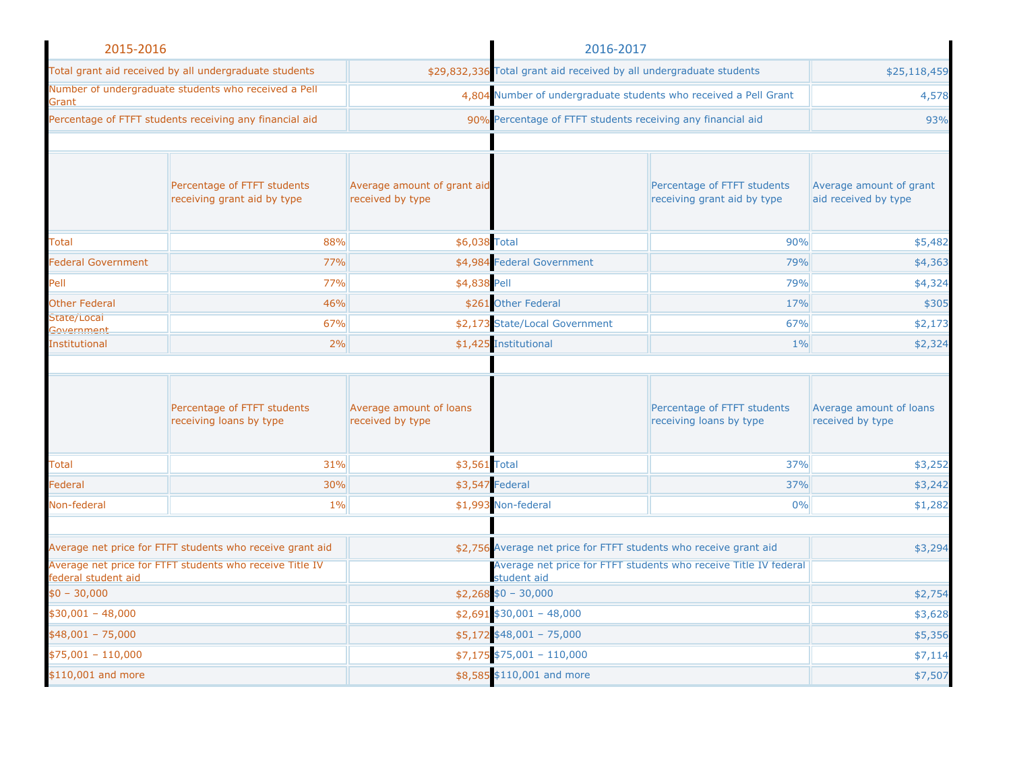| 2015-2016                 |                                                            | 2016-2017                                       |                                                                                 |                                                                   |                                                 |
|---------------------------|------------------------------------------------------------|-------------------------------------------------|---------------------------------------------------------------------------------|-------------------------------------------------------------------|-------------------------------------------------|
|                           | Total grant aid received by all undergraduate students     |                                                 | \$29,832,336 Total grant aid received by all undergraduate students             |                                                                   | \$25,118,459                                    |
| Grant                     | Number of undergraduate students who received a Pell       |                                                 | 4,804 Number of undergraduate students who received a Pell Grant                |                                                                   | 4,578                                           |
|                           | Percentage of FTFT students receiving any financial aid    |                                                 | 90% Percentage of FTFT students receiving any financial aid                     |                                                                   | 93%                                             |
|                           |                                                            |                                                 |                                                                                 |                                                                   |                                                 |
|                           | Percentage of FTFT students<br>receiving grant aid by type | Average amount of grant aid<br>received by type |                                                                                 | Percentage of FTFT students<br>receiving grant aid by type        | Average amount of grant<br>aid received by type |
| Total                     | 88%                                                        | \$6,038 Total                                   |                                                                                 | 90%                                                               | \$5,482                                         |
| <b>Federal Government</b> | 77%                                                        |                                                 | \$4,984 Federal Government                                                      | 79%                                                               | \$4,363                                         |
| Pell                      | 77%                                                        | \$4,838 Pell                                    |                                                                                 | 79%                                                               | \$4,324                                         |
| <b>Other Federal</b>      | 46%                                                        |                                                 | \$261 Other Federal                                                             | 17%                                                               | \$305                                           |
| State/Locai<br>Government | 67%                                                        |                                                 | \$2,173 State/Local Government                                                  | 67%                                                               | \$2,173                                         |
| <b>Institutional</b>      | 2%                                                         |                                                 | \$1,425 Institutional                                                           | $1\%$                                                             | \$2,324                                         |
|                           | Percentage of FTFT students<br>receiving loans by type     | Average amount of loans<br>received by type     |                                                                                 | Percentage of FTFT students<br>receiving loans by type            | Average amount of loans<br>received by type     |
| <b>Total</b>              | 31%                                                        | \$3,561 Total                                   |                                                                                 | 37%                                                               | \$3,252                                         |
| Federal                   | 30%                                                        |                                                 | \$3,547 Federal                                                                 | 37%                                                               | \$3,242                                         |
| Non-federal               | 1%                                                         |                                                 | \$1,993 Non-federal                                                             | 0%                                                                | \$1,282                                         |
|                           | Average net price for FTFT students who receive grant aid  |                                                 |                                                                                 | \$2,756 Average net price for FTFT students who receive grant aid | \$3,294                                         |
| federal student aid       | Average net price for FTFT students who receive Title IV   |                                                 | Average net price for FTFT students who receive Title IV federal<br>student aid |                                                                   |                                                 |
| $$0 - 30,000$             |                                                            |                                                 | $$2,268 $0 - 30,000$                                                            |                                                                   | \$2,754                                         |
| $$30,001 - 48,000$        |                                                            |                                                 | $$2,691$ \$30,001 - 48,000                                                      |                                                                   | \$3,628                                         |
| $$48,001 - 75,000$        |                                                            |                                                 | $$5,172$ \$48,001 - 75,000                                                      |                                                                   | \$5,356                                         |
| $$75,001 - 110,000$       |                                                            |                                                 | $$7,175$ $$75,001 - 110,000$                                                    |                                                                   | \$7,114                                         |
| \$110,001 and more        |                                                            |                                                 | \$8,585 \$110,001 and more<br>\$7,507                                           |                                                                   |                                                 |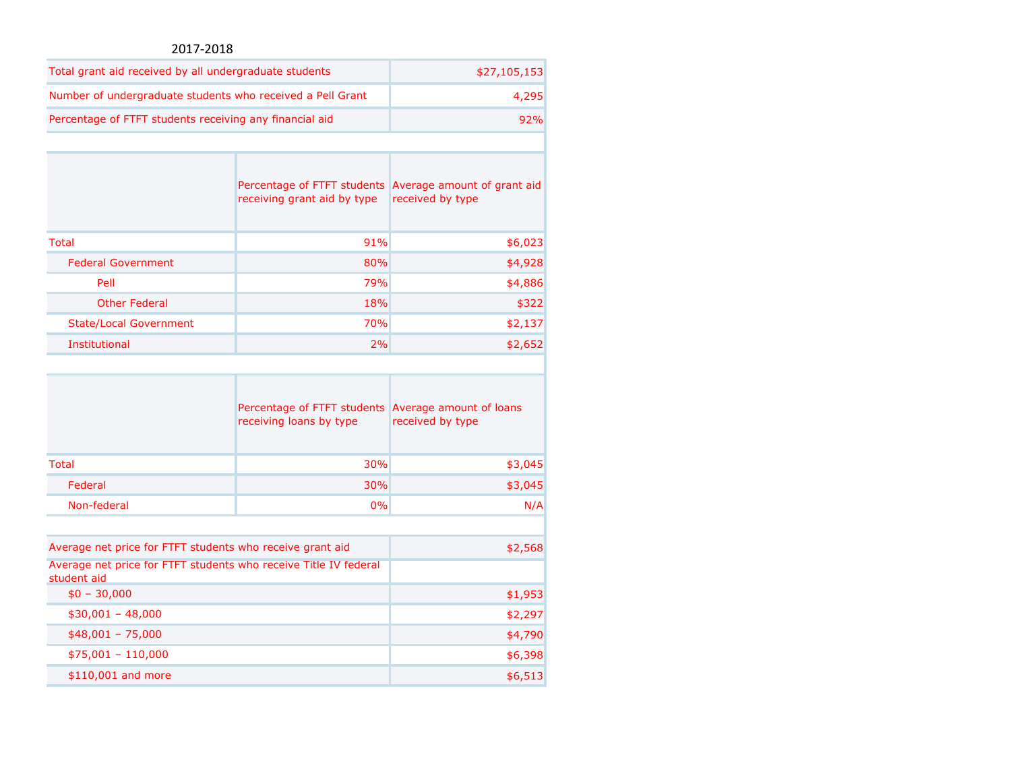## 2017-2018

| Total grant aid received by all undergraduate students     | \$27,105,153 |
|------------------------------------------------------------|--------------|
| Number of undergraduate students who received a Pell Grant | 4.295        |
| Percentage of FTFT students receiving any financial aid    | 92%          |

|                               | receiving grant aid by type | Percentage of FTFT students Average amount of grant aid<br>received by type |
|-------------------------------|-----------------------------|-----------------------------------------------------------------------------|
| <b>Total</b>                  | 91%                         | \$6,023                                                                     |
| <b>Federal Government</b>     | 80%                         | \$4,928                                                                     |
| Pell                          | 79%                         | \$4,886                                                                     |
| <b>Other Federal</b>          | 18%                         | \$322                                                                       |
| <b>State/Local Government</b> | <b>70%</b>                  | \$2,137                                                                     |
| Institutional                 | 2%                          | \$2,652                                                                     |

|                                                                                 | Percentage of FTFT students<br>receiving loans by type | Average amount of loans<br>received by type |
|---------------------------------------------------------------------------------|--------------------------------------------------------|---------------------------------------------|
| Total                                                                           | 30%                                                    | \$3,045                                     |
| Federal                                                                         | <b>30%</b>                                             | \$3,045                                     |
| Non-federal                                                                     | 0%                                                     | N/A                                         |
|                                                                                 |                                                        |                                             |
| Average net price for FTFT students who receive grant aid                       |                                                        | \$2,568                                     |
| Average net price for FTFT students who receive Title IV federal<br>student aid |                                                        |                                             |
| $$0 - 30,000$                                                                   |                                                        | \$1,953                                     |
| $$30,001 - 48,000$                                                              |                                                        | \$2,297                                     |

| $$48,001 - 75,000$  | \$4,790  |
|---------------------|----------|
| $$75,001 - 110,000$ | \$6,398⊧ |
| \$110,001 and more  | \$6,513  |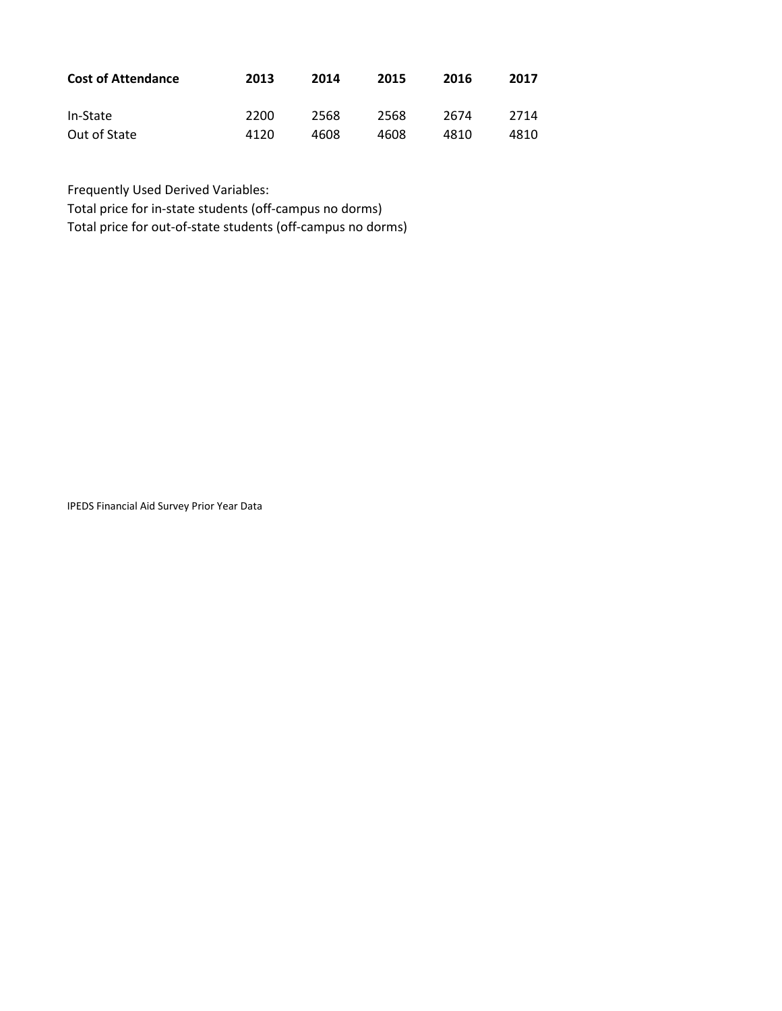| <b>Cost of Attendance</b> | 2013 | 2014 | 2015 | 2016 | 2017 |
|---------------------------|------|------|------|------|------|
| In-State                  | 2200 | 2568 | 2568 | 2674 | 2714 |
| Out of State              | 4120 | 4608 | 4608 | 4810 | 4810 |

Frequently Used Derived Variables:

Total price for in-state students (off-campus no dorms)

Total price for out-of-state students (off-campus no dorms)

IPEDS Financial Aid Survey Prior Year Data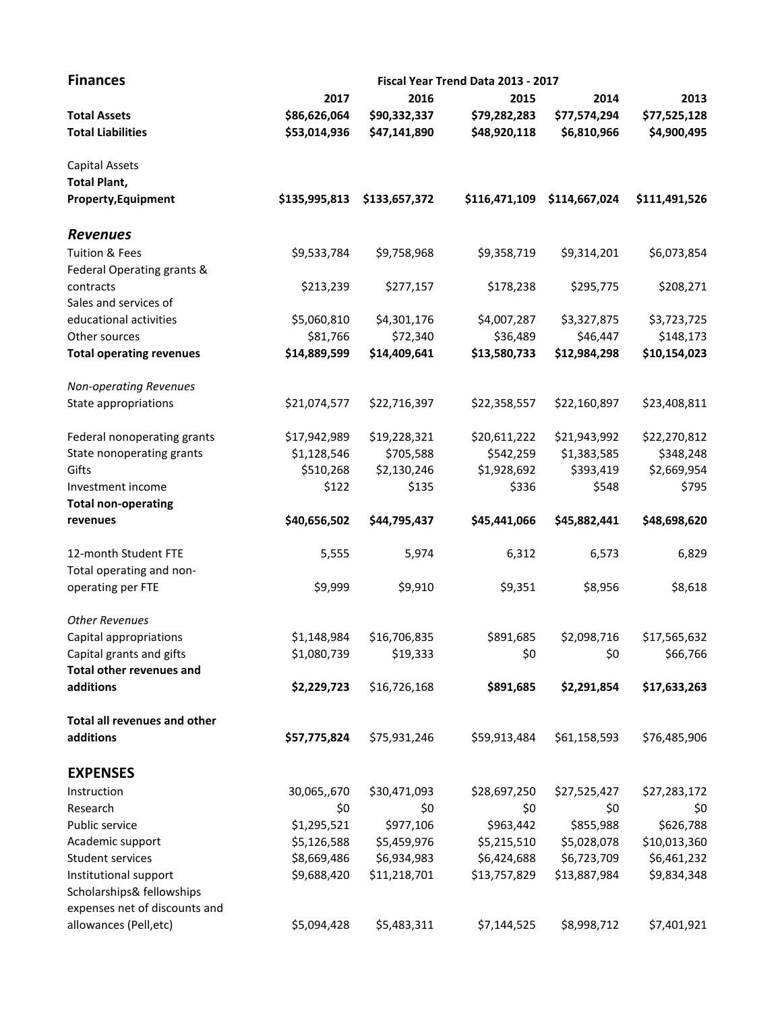| <b>Finances</b>                 | Fiscal Year Trend Data 2013 - 2017 |               |               |               |               |  |
|---------------------------------|------------------------------------|---------------|---------------|---------------|---------------|--|
|                                 | 2017                               | 2016          | 2015          | 2014          | 2013          |  |
| <b>Total Assets</b>             | \$86,626,064                       | \$90,332,337  | \$79,282,283  | \$77,574,294  | \$77,525,128  |  |
| <b>Total Liabilities</b>        | \$53,014,936                       | \$47,141,890  | \$48,920,118  | \$6,810,966   | \$4,900,495   |  |
| Capital Assets                  |                                    |               |               |               |               |  |
| <b>Total Plant,</b>             |                                    |               |               |               |               |  |
| <b>Property, Equipment</b>      | \$135,995,813                      | \$133,657,372 | \$116,471,109 | \$114,667,024 | \$111,491,526 |  |
| <b>Revenues</b>                 |                                    |               |               |               |               |  |
| <b>Tuition &amp; Fees</b>       | \$9,533,784                        | \$9,758,968   | \$9,358,719   | \$9,314,201   | \$6,073,854   |  |
| Federal Operating grants &      |                                    |               |               |               |               |  |
| contracts                       | \$213,239                          | \$277,157     | \$178,238     | \$295,775     | \$208,271     |  |
| Sales and services of           |                                    |               |               |               |               |  |
| educational activities          | \$5,060,810                        | \$4,301,176   | \$4,007,287   | \$3,327,875   | \$3,723,725   |  |
| Other sources                   | \$81,766                           | \$72,340      | \$36,489      | \$46,447      | \$148,173     |  |
| <b>Total operating revenues</b> | \$14,889,599                       | \$14,409,641  | \$13,580,733  | \$12,984,298  | \$10,154,023  |  |
| <b>Non-operating Revenues</b>   |                                    |               |               |               |               |  |
| State appropriations            | \$21,074,577                       | \$22,716,397  | \$22,358,557  | \$22,160,897  | \$23,408,811  |  |
| Federal nonoperating grants     | \$17,942,989                       | \$19,228,321  | \$20,611,222  | \$21,943,992  | \$22,270,812  |  |
| State nonoperating grants       | \$1,128,546                        | \$705,588     | \$542,259     | \$1,383,585   | \$348,248     |  |
| Gifts                           | \$510,268                          | \$2,130,246   | \$1,928,692   | \$393,419     | \$2,669,954   |  |
| Investment income               | \$122                              | \$135         | \$336         | \$548         | \$795         |  |
| <b>Total non-operating</b>      |                                    |               |               |               |               |  |
| revenues                        | \$40,656,502                       | \$44,795,437  | \$45,441,066  | \$45,882,441  | \$48,698,620  |  |
| 12-month Student FTE            | 5,555                              | 5,974         | 6,312         | 6,573         | 6,829         |  |
| Total operating and non-        |                                    |               |               |               |               |  |
| operating per FTE               | \$9,999                            | \$9,910       | \$9,351       | \$8,956       | \$8,618       |  |
| <b>Other Revenues</b>           |                                    |               |               |               |               |  |
| Capital appropriations          | \$1,148,984                        | \$16,706,835  | \$891,685     | \$2,098,716   | \$17,565,632  |  |
| Capital grants and gifts        | \$1,080,739                        | \$19,333      | \$0           | \$0           | \$66,766      |  |
| <b>Total other revenues and</b> |                                    |               |               |               |               |  |
| additions                       | \$2,229,723                        | \$16,726,168  | \$891,685     | \$2,291,854   | \$17,633,263  |  |
| Total all revenues and other    |                                    |               |               |               |               |  |
| additions                       | \$57,775,824                       | \$75,931,246  | \$59,913,484  | \$61,158,593  | \$76,485,906  |  |
| <b>EXPENSES</b>                 |                                    |               |               |               |               |  |
| Instruction                     | 30,065,,670                        | \$30,471,093  | \$28,697,250  | \$27,525,427  | \$27,283,172  |  |
| Research                        | \$0                                | \$0           | \$0           | \$0           | \$0           |  |
| Public service                  | \$1,295,521                        | \$977,106     | \$963,442     | \$855,988     | \$626,788     |  |
| Academic support                | \$5,126,588                        | \$5,459,976   | \$5,215,510   | \$5,028,078   | \$10,013,360  |  |
| Student services                | \$8,669,486                        | \$6,934,983   | \$6,424,688   | \$6,723,709   | \$6,461,232   |  |
| Institutional support           | \$9,688,420                        | \$11,218,701  | \$13,757,829  | \$13,887,984  | \$9,834,348   |  |
| Scholarships& fellowships       |                                    |               |               |               |               |  |
| expenses net of discounts and   |                                    |               |               |               |               |  |
| allowances (Pell, etc)          | \$5,094,428                        | \$5,483,311   | \$7,144,525   | \$8,998,712   | \$7,401,921   |  |